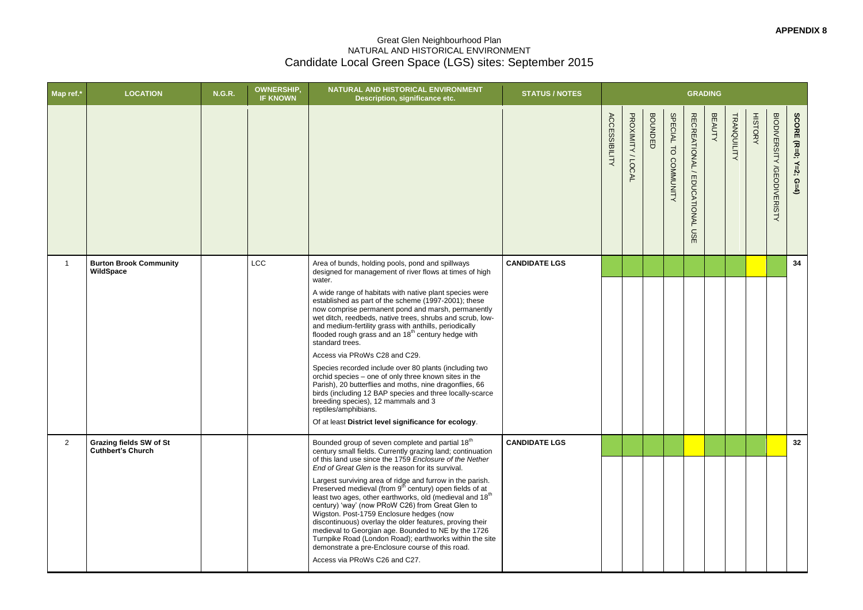## Great Glen Neighbourhood Plan NATURAL AND HISTORICAL ENVIRONMENT Candidate Local Green Space (LGS) sites: September 2015

| <b>STATUS / NOTES</b> |                      |                   |                |                      | <b>GRADING</b>                 |               |             |                |                                   |                       |
|-----------------------|----------------------|-------------------|----------------|----------------------|--------------------------------|---------------|-------------|----------------|-----------------------------------|-----------------------|
|                       | <b>ACCESSIBILITY</b> | PROXIMITY / LOCAL | <b>BOUNDED</b> | SPECIAL TO COMMUNITY | RECREATIONAL / EDUCATIONAL USE | <b>BEAUTY</b> | TRANQUILITY | <b>HISTORY</b> | <b>BIODIVERSITY /GEODIVERISTY</b> | SCORE (R=0; Y=2; G=4) |
| <b>CANDIDATE LGS</b>  |                      |                   |                |                      |                                |               |             |                |                                   | 34                    |
| <b>CANDIDATE LGS</b>  |                      |                   |                |                      |                                |               |             |                |                                   | 32                    |

| Map ref.*      | <b>LOCATION</b>                                            | <b>N.G.R.</b> | <b>OWNERSHIP,</b><br><b>IF KNOWN</b> | NATURAL AND HISTORICAL ENVIRONMENT<br>Description, significance etc.                                                                                                                                                                                                                                                                                                                                                                                                                                                                                                                                                                                                                                                                                                             | <b>STATUS / NOTES</b> |                      |                   |                |                         | <b>GRADING</b>                                                |               |
|----------------|------------------------------------------------------------|---------------|--------------------------------------|----------------------------------------------------------------------------------------------------------------------------------------------------------------------------------------------------------------------------------------------------------------------------------------------------------------------------------------------------------------------------------------------------------------------------------------------------------------------------------------------------------------------------------------------------------------------------------------------------------------------------------------------------------------------------------------------------------------------------------------------------------------------------------|-----------------------|----------------------|-------------------|----------------|-------------------------|---------------------------------------------------------------|---------------|
|                |                                                            |               |                                      |                                                                                                                                                                                                                                                                                                                                                                                                                                                                                                                                                                                                                                                                                                                                                                                  |                       | <b>ACCESSIBILITY</b> | PROXIMITY / LOCAL | <b>BOUNDED</b> | SPECIAL TO<br>COMMUNITY | RECREATIONAL<br>EDUCATIONAL<br>$\mathsf{S}$<br>$\blacksquare$ | <b>BEAUTY</b> |
| 1              | <b>Burton Brook Community</b><br>WildSpace                 |               | <b>LCC</b>                           | Area of bunds, holding pools, pond and spillways<br>designed for management of river flows at times of high                                                                                                                                                                                                                                                                                                                                                                                                                                                                                                                                                                                                                                                                      | <b>CANDIDATE LGS</b>  |                      |                   |                |                         |                                                               |               |
|                |                                                            |               |                                      | water.<br>A wide range of habitats with native plant species were<br>established as part of the scheme (1997-2001); these<br>now comprise permanent pond and marsh, permanently<br>wet ditch, reedbeds, native trees, shrubs and scrub, low-<br>and medium-fertility grass with anthills, periodically flooded rough grass and an $18th$ century hedge with<br>standard trees.<br>Access via PRoWs C28 and C29.<br>Species recorded include over 80 plants (including two<br>orchid species - one of only three known sites in the<br>Parish), 20 butterflies and moths, nine dragonflies, 66<br>birds (including 12 BAP species and three locally-scarce<br>breeding species), 12 mammals and 3<br>reptiles/amphibians.<br>Of at least District level significance for ecology. |                       |                      |                   |                |                         |                                                               |               |
| $\overline{2}$ | <b>Grazing fields SW of St</b><br><b>Cuthbert's Church</b> |               |                                      | Bounded group of seven complete and partial 18 <sup>th</sup><br>century small fields. Currently grazing land; continuation<br>of this land use since the 1759 Enclosure of the Nether                                                                                                                                                                                                                                                                                                                                                                                                                                                                                                                                                                                            | <b>CANDIDATE LGS</b>  |                      |                   |                |                         |                                                               |               |
|                |                                                            |               |                                      | End of Great Glen is the reason for its survival.<br>Largest surviving area of ridge and furrow in the parish.<br>Preserved medieval (from 9 <sup>th</sup> century) open fields of at<br>least two ages, other earthworks, old (medieval and 18 <sup>th</sup><br>century) 'way' (now PRoW C26) from Great Glen to<br>Wigston. Post-1759 Enclosure hedges (now<br>discontinuous) overlay the older features, proving their<br>medieval to Georgian age. Bounded to NE by the 1726<br>Turnpike Road (London Road); earthworks within the site<br>demonstrate a pre-Enclosure course of this road.<br>Access via PRoWs C26 and C27.                                                                                                                                                 |                       |                      |                   |                |                         |                                                               |               |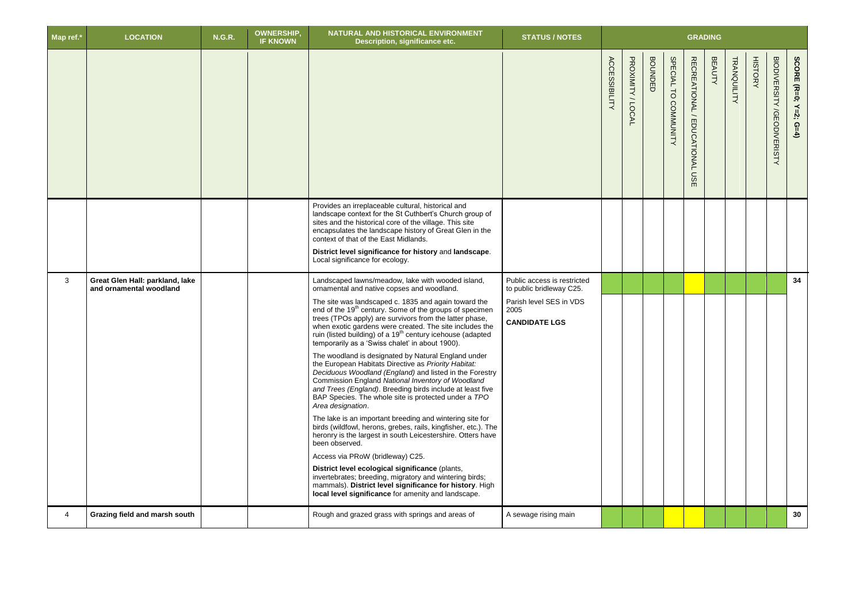| Map ref.* | <b>LOCATION</b>                                            | <b>N.G.R.</b> | <b>OWNERSHIP</b><br><b>IF KNOWN</b> | NATURAL AND HISTORICAL ENVIRONMENT<br>Description, significance etc.                                                                                                                                                                                                                                                                                                                                                                                                                                                                                                                                                                                                                                                                                                                                                                                                                                                                                                                                                                                                                                                                                                                                                                                                                                                                          | <b>STATUS / NOTES</b>                                                                                              | <b>GRADING</b>       |                   |                |                      |                                                                       |               |                    |                |                                             |                       |
|-----------|------------------------------------------------------------|---------------|-------------------------------------|-----------------------------------------------------------------------------------------------------------------------------------------------------------------------------------------------------------------------------------------------------------------------------------------------------------------------------------------------------------------------------------------------------------------------------------------------------------------------------------------------------------------------------------------------------------------------------------------------------------------------------------------------------------------------------------------------------------------------------------------------------------------------------------------------------------------------------------------------------------------------------------------------------------------------------------------------------------------------------------------------------------------------------------------------------------------------------------------------------------------------------------------------------------------------------------------------------------------------------------------------------------------------------------------------------------------------------------------------|--------------------------------------------------------------------------------------------------------------------|----------------------|-------------------|----------------|----------------------|-----------------------------------------------------------------------|---------------|--------------------|----------------|---------------------------------------------|-----------------------|
|           |                                                            |               |                                     |                                                                                                                                                                                                                                                                                                                                                                                                                                                                                                                                                                                                                                                                                                                                                                                                                                                                                                                                                                                                                                                                                                                                                                                                                                                                                                                                               |                                                                                                                    | <b>ACCESSIBILITY</b> | PROXIMITY / LOCAL | <b>BOUNDED</b> | SPECIAL TO COMMUNITY | <b>RECREATIONAL</b><br>$\overline{\phantom{0}}$<br>EDUCATIONAL<br>USE | <b>BEAUTY</b> | <b>TRANQUILITY</b> | <b>HISTORY</b> | <b>BIODIVERSITY</b><br><b>/GEODIVERISTY</b> | SCORE (R=0; Y=2; G=4) |
|           |                                                            |               |                                     | Provides an irreplaceable cultural, historical and<br>landscape context for the St Cuthbert's Church group of<br>sites and the historical core of the village. This site<br>encapsulates the landscape history of Great Glen in the<br>context of that of the East Midlands.<br>District level significance for history and landscape.<br>Local significance for ecology.                                                                                                                                                                                                                                                                                                                                                                                                                                                                                                                                                                                                                                                                                                                                                                                                                                                                                                                                                                     |                                                                                                                    |                      |                   |                |                      |                                                                       |               |                    |                |                                             |                       |
| 3         | Great Glen Hall: parkland, lake<br>and ornamental woodland |               |                                     | Landscaped lawns/meadow, lake with wooded island,<br>ornamental and native copses and woodland.<br>The site was landscaped c. 1835 and again toward the<br>end of the 19 <sup>th</sup> century. Some of the groups of specimen<br>trees (TPOs apply) are survivors from the latter phase,<br>when exotic gardens were created. The site includes the<br>ruin (listed building) of a 19 <sup>th</sup> century icehouse (adapted<br>temporarily as a 'Swiss chalet' in about 1900).<br>The woodland is designated by Natural England under<br>the European Habitats Directive as Priority Habitat:<br>Deciduous Woodland (England) and listed in the Forestry<br>Commission England National Inventory of Woodland<br>and Trees (England). Breeding birds include at least five<br>BAP Species. The whole site is protected under a TPO<br>Area designation.<br>The lake is an important breeding and wintering site for<br>birds (wildfowl, herons, grebes, rails, kingfisher, etc.). The<br>heronry is the largest in south Leicestershire. Otters have<br>been observed.<br>Access via PRoW (bridleway) C25.<br>District level ecological significance (plants,<br>invertebrates; breeding, migratory and wintering birds;<br>mammals). District level significance for history. High<br>local level significance for amenity and landscape. | Public access is restricted<br>to public bridleway C25.<br>Parish level SES in VDS<br>2005<br><b>CANDIDATE LGS</b> |                      |                   |                |                      |                                                                       |               |                    |                |                                             | 34                    |
| 4         | Grazing field and marsh south                              |               |                                     | Rough and grazed grass with springs and areas of                                                                                                                                                                                                                                                                                                                                                                                                                                                                                                                                                                                                                                                                                                                                                                                                                                                                                                                                                                                                                                                                                                                                                                                                                                                                                              | A sewage rising main                                                                                               |                      |                   |                |                      |                                                                       |               |                    |                |                                             | 30 <sup>°</sup>       |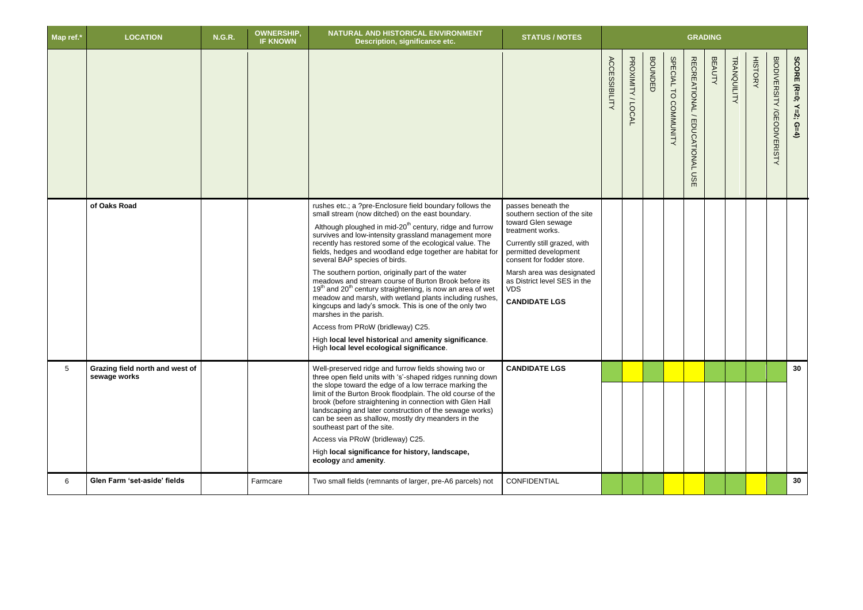| Map ref.*      | <b>LOCATION</b>                                 | <b>N.G.R.</b> | <b>OWNERSHIP,</b><br><b>IF KNOWN</b> | NATURAL AND HISTORICAL ENVIRONMENT<br>Description, significance etc.                                                                                                                                                                                                                                                                                                                                                                                                                                                                                                                                                                                                                                                                                                                                                                                                                              | <b>STATUS / NOTES</b>                                                                                                                                                                                                                                                                 | <b>GRADING</b>       |                   |                |                      |                                           |               |             |                |                                             |                                         |
|----------------|-------------------------------------------------|---------------|--------------------------------------|---------------------------------------------------------------------------------------------------------------------------------------------------------------------------------------------------------------------------------------------------------------------------------------------------------------------------------------------------------------------------------------------------------------------------------------------------------------------------------------------------------------------------------------------------------------------------------------------------------------------------------------------------------------------------------------------------------------------------------------------------------------------------------------------------------------------------------------------------------------------------------------------------|---------------------------------------------------------------------------------------------------------------------------------------------------------------------------------------------------------------------------------------------------------------------------------------|----------------------|-------------------|----------------|----------------------|-------------------------------------------|---------------|-------------|----------------|---------------------------------------------|-----------------------------------------|
|                |                                                 |               |                                      |                                                                                                                                                                                                                                                                                                                                                                                                                                                                                                                                                                                                                                                                                                                                                                                                                                                                                                   |                                                                                                                                                                                                                                                                                       | <b>ACCESSIBILITY</b> | PROXIMITY / LOCAL | <b>BOUNDED</b> | SPECIAL TO COMMUNITY | <b>RECREATIONAL</b><br>EDUCATIONAL<br>USE | <b>BEAUTY</b> | TRANQUILITY | <b>HISTORY</b> | <b>BIODIVERSITY</b><br><b>/GEODIVERISTY</b> | <b>SCORE</b><br>$(R=0;$<br>$Y=2$ ;<br>ດ |
|                | of Oaks Road                                    |               |                                      | rushes etc.; a ?pre-Enclosure field boundary follows the<br>small stream (now ditched) on the east boundary.<br>Although ploughed in mid-20 <sup>th</sup> century, ridge and furrow<br>survives and low-intensity grassland management more<br>recently has restored some of the ecological value. The<br>fields, hedges and woodland edge together are habitat for<br>several BAP species of birds.<br>The southern portion, originally part of the water<br>meadows and stream course of Burton Brook before its<br>19 <sup>th</sup> and 20 <sup>th</sup> century straightening, is now an area of wet<br>meadow and marsh, with wetland plants including rushes<br>kingcups and lady's smock. This is one of the only two<br>marshes in the parish.<br>Access from PRoW (bridleway) C25.<br>High local level historical and amenity significance.<br>High local level ecological significance. | passes beneath the<br>southern section of the site<br>toward Glen sewage<br>treatment works.<br>Currently still grazed, with<br>permitted development<br>consent for fodder store.<br>Marsh area was designated<br>as District level SES in the<br><b>VDS</b><br><b>CANDIDATE LGS</b> |                      |                   |                |                      |                                           |               |             |                |                                             |                                         |
| 5 <sup>5</sup> | Grazing field north and west of<br>sewage works |               |                                      | Well-preserved ridge and furrow fields showing two or<br>three open field units with 's'-shaped ridges running down<br>the slope toward the edge of a low terrace marking the<br>limit of the Burton Brook floodplain. The old course of the<br>brook (before straightening in connection with Glen Hall<br>landscaping and later construction of the sewage works)<br>can be seen as shallow, mostly dry meanders in the<br>southeast part of the site.<br>Access via PRoW (bridleway) C25.<br>High local significance for history, landscape,<br>ecology and amenity.                                                                                                                                                                                                                                                                                                                           | <b>CANDIDATE LGS</b>                                                                                                                                                                                                                                                                  |                      |                   |                |                      |                                           |               |             |                |                                             | 30                                      |
| 6              | Glen Farm 'set-aside' fields                    |               | Farmcare                             | Two small fields (remnants of larger, pre-A6 parcels) not                                                                                                                                                                                                                                                                                                                                                                                                                                                                                                                                                                                                                                                                                                                                                                                                                                         | CONFIDENTIAL                                                                                                                                                                                                                                                                          |                      |                   |                |                      |                                           |               |             |                |                                             | 30                                      |